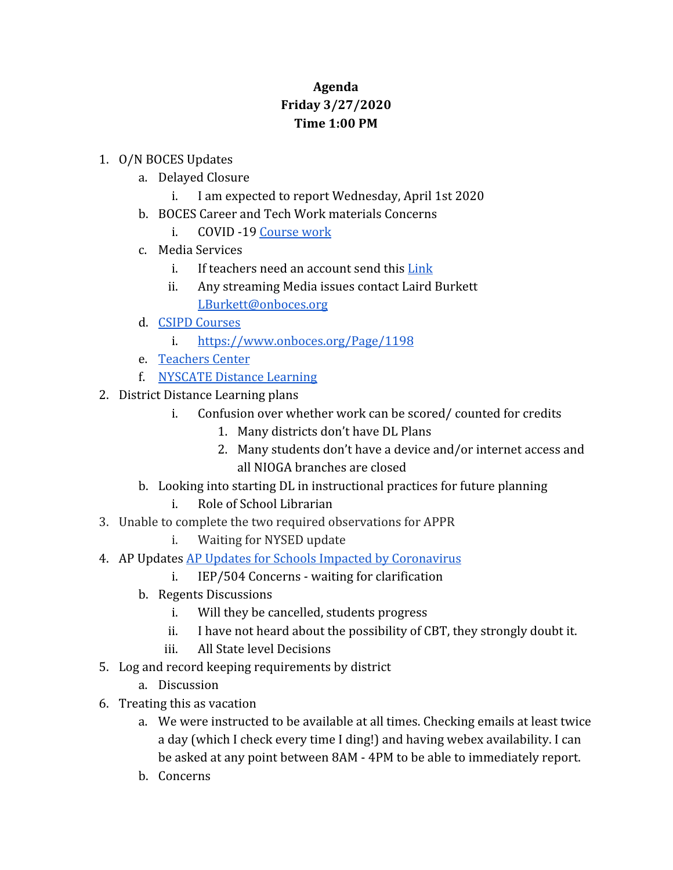## **Agenda Friday 3/27/2020 Time 1:00 PM**

## 1. O/N BOCES Updates

- a. Delayed Closure
	- i. I am expected to report Wednesday, April 1st 2020
- b. BOCES Career and Tech Work materials Concerns
	- i. COVID -19 [Course work](https://www.onboces.org/Page/1197)
- c. Media Services
	- i. If teachers need an account send this [Link](http://webmax.onboces.org/index.php/snap/contact_us/request_account)
	- ii. Any streaming Media issues contact Laird Burkett [LBurkett@onboces.org](mailto:LBurkett@onboces.org)
- d. [CSIPD Courses](https://docs.google.com/document/d/1CrY5KcPjFRQXf0btK8xE5SDG4dmLtG2dLsp2C8uumcI/edit)
	- i. <https://www.onboces.org/Page/1198>
- e. [Teachers Center](https://onteachercenter.wixsite.com/ontc)
- f. [NYSCATE Distance Learning](https://nyscate.configio.com/pd/431?code=OvFTRD9m6i)
- 2. District Distance Learning plans
	- i. Confusion over whether work can be scored/ counted for credits
		- 1. Many districts don't have DL Plans
		- 2. Many students don't have a device and/or internet access and all NIOGA branches are closed
	- b. Looking into starting DL in instructional practices for future planning
		- i. Role of School Librarian
- 3. Unable to complete the two required observations for APPR
	- i. Waiting for NYSED update
- 4. AP Updates [AP Updates for Schools Impacted by Coronavirus](https://apcentral.collegeboard.org/about-ap/news-changes/coronavirus-update)
	- i. IEP/504 Concerns waiting for clarification
	- b. Regents Discussions
		- i. Will they be cancelled, students progress
		- ii. I have not heard about the possibility of CBT, they strongly doubt it.
		- iii. All State level Decisions
- 5. Log and record keeping requirements by district
	- a. Discussion
- 6. Treating this as vacation
	- a. We were instructed to be available at all times. Checking emails at least twice a day (which I check every time I ding!) and having webex availability. I can be asked at any point between 8AM - 4PM to be able to immediately report.
	- b. Concerns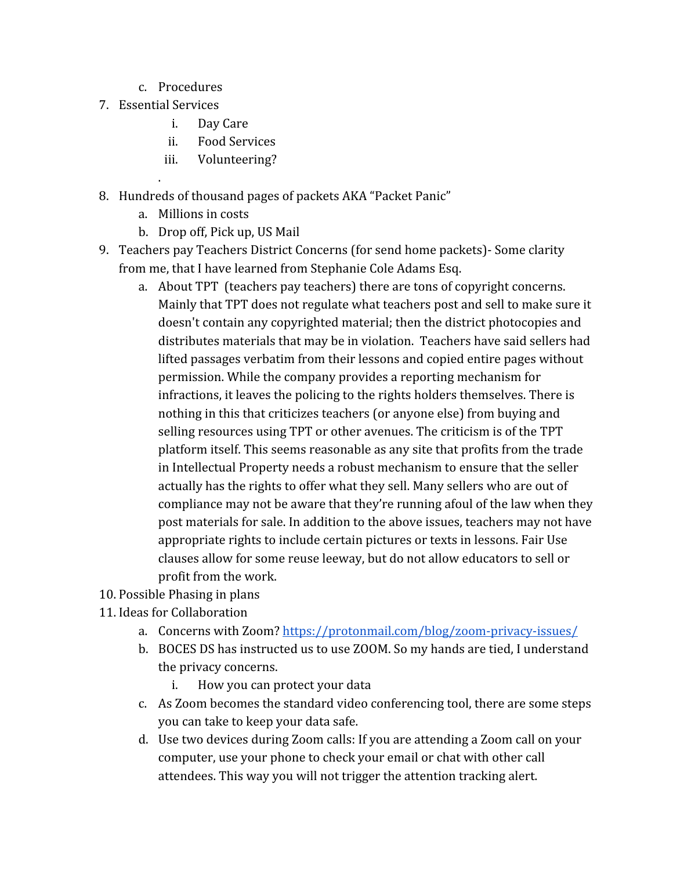- c. Procedures
- 7. Essential Services

.

- i. Day Care
- ii. Food Services
- iii. Volunteering?
- 8. Hundreds of thousand pages of packets AKA "Packet Panic"
	- a. Millions in costs
	- b. Drop off, Pick up, US Mail
- 9. Teachers pay Teachers District Concerns (for send home packets)- Some clarity from me, that I have learned from Stephanie Cole Adams Esq.
	- a. About TPT (teachers pay teachers) there are tons of copyright concerns. Mainly that TPT does not regulate what teachers post and sell to make sure it doesn't contain any copyrighted material; then the district photocopies and distributes materials that may be in violation. Teachers have said sellers had lifted passages verbatim from their lessons and copied entire pages without permission. While the company provides a reporting mechanism for infractions, it leaves the policing to the rights holders themselves. There is nothing in this that criticizes teachers (or anyone else) from buying and selling resources using TPT or other avenues. The criticism is of the TPT platform itself. This seems reasonable as any site that profits from the trade in Intellectual Property needs a robust mechanism to ensure that the seller actually has the rights to offer what they sell. Many sellers who are out of compliance may not be aware that they're running afoul of the law when they post materials for sale. In addition to the above issues, teachers may not have appropriate rights to include certain pictures or texts in lessons. Fair Use clauses allow for some reuse leeway, but do not allow educators to sell or profit from the work.
- 10. Possible Phasing in plans
- 11. Ideas for Collaboration
	- a. Concerns with Zoom?<https://protonmail.com/blog/zoom-privacy-issues/>
	- b. BOCES DS has instructed us to use ZOOM. So my hands are tied, I understand the privacy concerns.
		- i. How you can protect your data
	- c. As Zoom becomes the standard video conferencing tool, there are some steps you can take to keep your data safe.
	- d. Use two devices during Zoom calls: If you are attending a Zoom call on your computer, use your phone to check your email or chat with other call attendees. This way you will not trigger the attention tracking alert.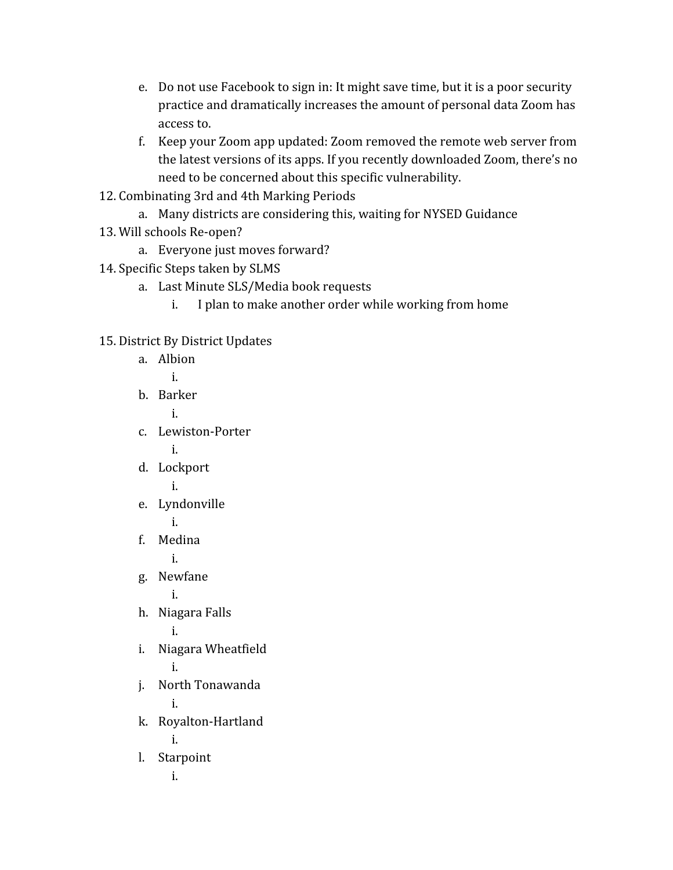- e. Do not use Facebook to sign in: It might save time, but it is a poor security practice and dramatically increases the amount of personal data Zoom has access to.
- f. Keep your Zoom app updated: Zoom removed the remote web server from the latest versions of its apps. If you recently downloaded Zoom, there's no need to be concerned about this specific vulnerability.
- 12. Combinating 3rd and 4th Marking Periods
	- a. Many districts are considering this, waiting for NYSED Guidance
- 13. Will schools Re-open?
	- a. Everyone just moves forward?
- 14. Specific Steps taken by SLMS
	- a. Last Minute SLS/Media book requests
		- i. I plan to make another order while working from home

## 15. District By District Updates

| a. | Albion             |
|----|--------------------|
|    | i.                 |
| b. | <b>Barker</b>      |
|    | i.                 |
| C. | Lewiston-Porter    |
|    | i.                 |
| d. | Lockport           |
|    | i.                 |
| e. | Lyndonville        |
|    | i.                 |
| f. | Medina             |
|    | i.                 |
|    | g. Newfane         |
|    | i.                 |
| h. | Niagara Falls      |
|    | i.                 |
| i. | Niagara Wheatfield |
|    | i.                 |
| j. | North Tonawanda    |
|    | i.                 |
| k. | Royalton-Hartland  |
|    | i.                 |
| l. | Starpoint          |
|    | i.                 |